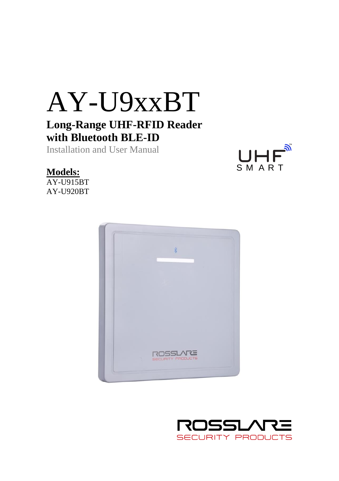# AY-U9xxBT **Long-Range UHF-RFID Reader with Bluetooth BLE-ID**

Installation and User Manual



# **Models:**

AY-U915BT AY-U920BT



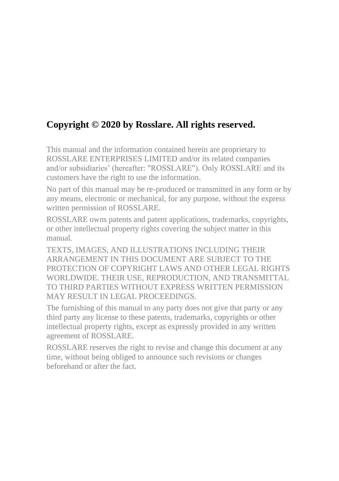# **Copyright © 2020 by Rosslare. All rights reserved.**

This manual and the information contained herein are proprietary to ROSSLARE ENTERPRISES LIMITED and/or its related companies and/or subsidiaries' (hereafter: "ROSSLARE"). Only ROSSLARE and its customers have the right to use the information.

No part of this manual may be re-produced or transmitted in any form or by any means, electronic or mechanical, for any purpose, without the express written permission of ROSSLARE.

ROSSLARE owns patents and patent applications, trademarks, copyrights, or other intellectual property rights covering the subject matter in this manual.

TEXTS, IMAGES, AND ILLUSTRATIONS INCLUDING THEIR ARRANGEMENT IN THIS DOCUMENT ARE SUBJECT TO THE PROTECTION OF COPYRIGHT LAWS AND OTHER LEGAL RIGHTS WORLDWIDE. THEIR USE, REPRODUCTION, AND TRANSMITTAL TO THIRD PARTIES WITHOUT EXPRESS WRITTEN PERMISSION MAY RESULT IN LEGAL PROCEEDINGS.

The furnishing of this manual to any party does not give that party or any third party any license to these patents, trademarks, copyrights or other intellectual property rights, except as expressly provided in any written agreement of ROSSLARE.

ROSSLARE reserves the right to revise and change this document at any time, without being obliged to announce such revisions or changes beforehand or after the fact.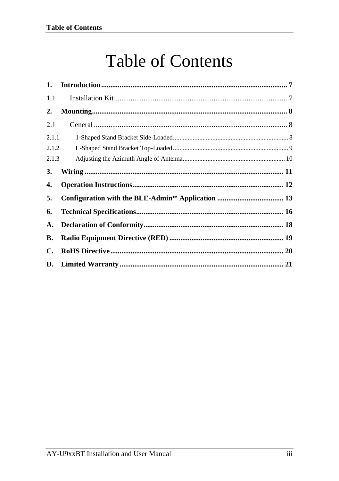# **Table of Contents**

| 1.    |  |
|-------|--|
| 1.1   |  |
| 2.    |  |
| 2.1   |  |
| 2.1.1 |  |
| 2.1.2 |  |
| 2.1.3 |  |
| 3.    |  |
| 4.    |  |
| 5.    |  |
| 6.    |  |
| A.    |  |
| В.    |  |
| C.    |  |
|       |  |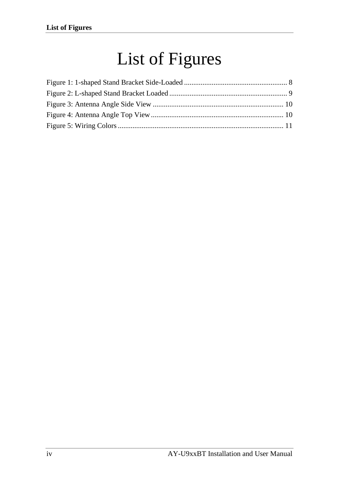# List of Figures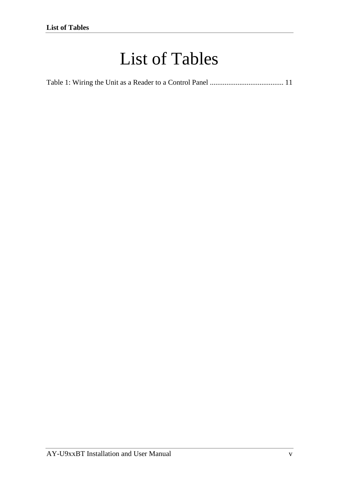# List of Tables

|--|--|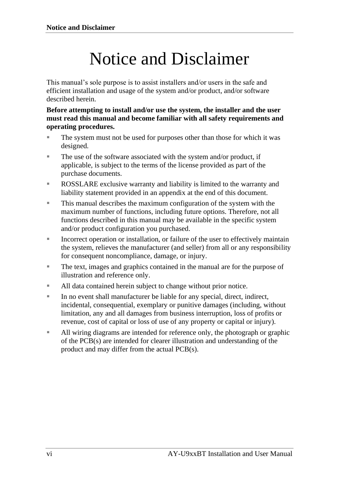# Notice and Disclaimer

This manual's sole purpose is to assist installers and/or users in the safe and efficient installation and usage of the system and/or product, and/or software described herein.

**Before attempting to install and/or use the system, the installer and the user must read this manual and become familiar with all safety requirements and operating procedures.**

- The system must not be used for purposes other than those for which it was designed.
- The use of the software associated with the system and/or product, if applicable, is subject to the terms of the license provided as part of the purchase documents.
- ROSSLARE exclusive warranty and liability is limited to the warranty and liability statement provided in an appendix at the end of this document.
- This manual describes the maximum configuration of the system with the maximum number of functions, including future options. Therefore, not all functions described in this manual may be available in the specific system and/or product configuration you purchased.
- **EXECUTE:** Incorrect operation or installation, or failure of the user to effectively maintain the system, relieves the manufacturer (and seller) from all or any responsibility for consequent noncompliance, damage, or injury.
- The text, images and graphics contained in the manual are for the purpose of illustration and reference only.
- All data contained herein subject to change without prior notice.
- In no event shall manufacturer be liable for any special, direct, indirect, incidental, consequential, exemplary or punitive damages (including, without limitation, any and all damages from business interruption, loss of profits or revenue, cost of capital or loss of use of any property or capital or injury).
- All wiring diagrams are intended for reference only, the photograph or graphic of the PCB(s) are intended for clearer illustration and understanding of the product and may differ from the actual PCB(s).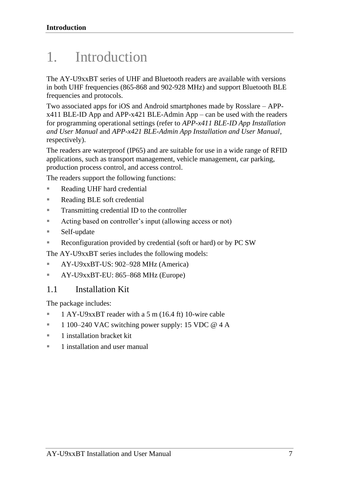# <span id="page-6-0"></span>1. Introduction

The AY-U9xxBT series of UHF and Bluetooth readers are available with versions in both UHF frequencies (865-868 and 902-928 MHz) and support Bluetooth BLE frequencies and protocols.

Two associated apps for iOS and Android smartphones made by Rosslare – APPx411 BLE-ID App and APP-x421 BLE-Admin App – can be used with the readers for programming operational settings (refer to *APP-x411 BLE-ID App Installation and User Manual* and *APP-x421 BLE-Admin App Installation and User Manual*, respectively).

The readers are waterproof (IP65) and are suitable for use in a wide range of RFID applications, such as transport management, vehicle management, car parking, production process control, and access control.

The readers support the following functions:

- Reading UHF hard credential
- Reading BLE soft credential
- Transmitting credential ID to the controller
- Acting based on controller's input (allowing access or not)
- Self-update
- Reconfiguration provided by credential (soft or hard) or by PC SW

The AY-U9xxBT series includes the following models:

- **EXECUS**: 902–928 MHz (America)
- **EXECU**: 865–868 MHz (Europe)

## <span id="page-6-1"></span>1.1 Installation Kit

The package includes:

- 1 AY-U9xxBT reader with a 5 m (16.4 ft) 10-wire cable
- $\blacksquare$  1 100–240 VAC switching power supply: 15 VDC @ 4 A
- 1 installation bracket kit
- 1 installation and user manual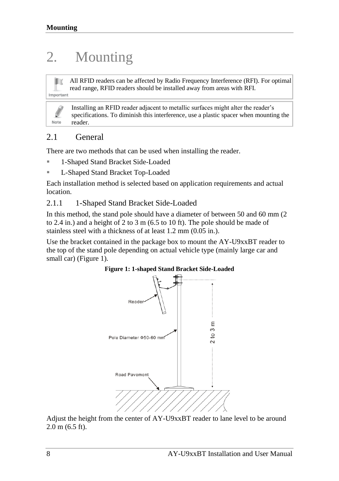# <span id="page-7-0"></span>2. Mounting

All RFID readers can be affected by Radio Frequency Interference (RFI). For optimal read range, RFID readers should be installed away from areas with RFI. Important

Installing an RFID reader adjacent to metallic surfaces might alter the reader's specifications. To diminish this interference, use a plastic spacer when mounting the reader.

# <span id="page-7-1"></span>2.1 General

Note

There are two methods that can be used when installing the reader.

- 1-Shaped Stand Bracket Side-Loaded
- L-Shaped Stand Bracket Top-Loaded

Each installation method is selected based on application requirements and actual location.

### <span id="page-7-2"></span>2.1.1 1-Shaped Stand Bracket Side-Loaded

In this method, the stand pole should have a diameter of between 50 and 60 mm (2 to 2.4 in.) and a height of 2 to 3 m (6.5 to 10 ft). The pole should be made of stainless steel with a thickness of at least 1.2 mm (0.05 in.).

<span id="page-7-3"></span>Use the bracket contained in the package box to mount the AY-U9xxBT reader to the top of the stand pole depending on actual vehicle type (mainly large car and small car) [\(Figure 1\)](#page-7-3).



Adjust the height from the center of AY-U9xxBT reader to lane level to be around 2.0 m (6.5 ft).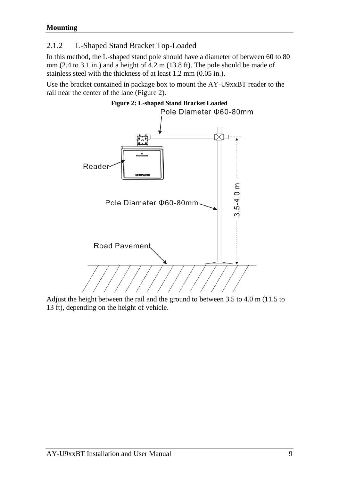# <span id="page-8-0"></span>2.1.2 L-Shaped Stand Bracket Top-Loaded

In this method, the L-shaped stand pole should have a diameter of between 60 to 80 mm (2.4 to 3.1 in.) and a height of  $4.2$  m (13.8 ft). The pole should be made of stainless steel with the thickness of at least  $1.2$  mm  $(0.05$  in.).

<span id="page-8-1"></span>Use the bracket contained in package box to mount the AY-U9xxBT reader to the rail near the center of the lane [\(Figure 2\)](#page-8-1).



Adjust the height between the rail and the ground to between 3.5 to 4.0 m (11.5 to 13 ft), depending on the height of vehicle.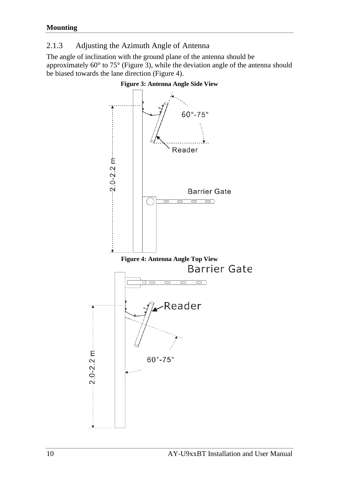## <span id="page-9-0"></span>2.1.3 Adjusting the Azimuth Angle of Antenna

<span id="page-9-1"></span>The angle of inclination with the ground plane of the antenna should be approximately 60° to 75° [\(Figure 3\)](#page-9-1), while the deviation angle of the antenna should be biased towards the lane direction [\(Figure 4\)](#page-9-2).

<span id="page-9-2"></span>

#### **Figure 3: Antenna Angle Side View**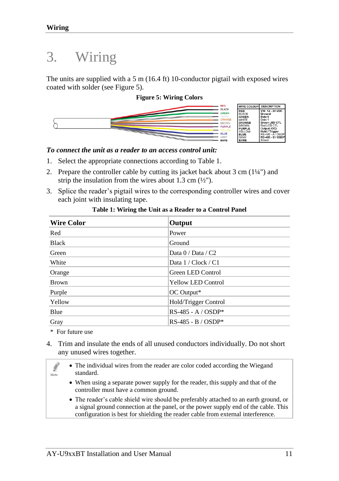# <span id="page-10-0"></span>3. Wiring

The units are supplied with a 5 m (16.4 ft) 10-conductor pigtail with exposed wires coated with solder (se[e Figure 5\)](#page-10-1).

#### **Figure 5: Wiring Colors**

<span id="page-10-1"></span>

#### *To connect the unit as a reader to an access control unit:*

- 1. Select the appropriate connections according to [Table 1.](#page-10-2)
- 2. Prepare the controller cable by cutting its jacket back about 3 cm (1¼") and strip the insulation from the wires about 1.3 cm  $(\frac{1}{2})$ .
- 3. Splice the reader's pigtail wires to the corresponding controller wires and cover each joint with insulating tape.

<span id="page-10-2"></span>

| <b>Wire Color</b> | Output                    |  |
|-------------------|---------------------------|--|
| Red               | Power                     |  |
| <b>Black</b>      | Ground                    |  |
| Green             | Data $0/$ Data $/$ C2     |  |
| White             | Data $1/Clock/C1$         |  |
| Orange            | Green LED Control         |  |
| <b>Brown</b>      | <b>Yellow LED Control</b> |  |
| Purple            | OC Output*                |  |
| Yellow            | Hold/Trigger Control      |  |
| Blue              | $RS-485 - A / OSDP*$      |  |
| Gray              | $RS-485 - B / OSDP*$      |  |

#### **Table 1: Wiring the Unit as a Reader to a Control Panel**

\* For future use

l Note

4. Trim and insulate the ends of all unused conductors individually. Do not short any unused wires together.

• The individual wires from the reader are color coded according the Wiegand standard.

- When using a separate power supply for the reader, this supply and that of the controller must have a common ground.
- The reader's cable shield wire should be preferably attached to an earth ground, or a signal ground connection at the panel, or the power supply end of the cable. This configuration is best for shielding the reader cable from external interference.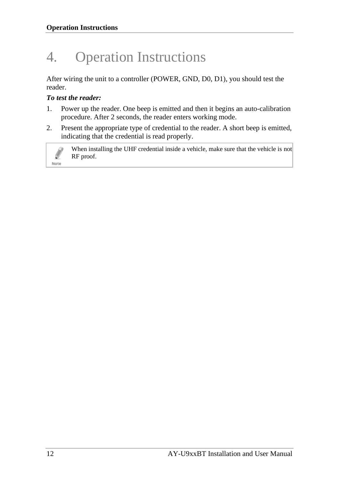# <span id="page-11-0"></span>4. Operation Instructions

After wiring the unit to a controller (POWER, GND, D0, D1), you should test the reader.

## *To test the reader:*

Note

- 1. Power up the reader. One beep is emitted and then it begins an auto-calibration procedure. After 2 seconds, the reader enters working mode.
- 2. Present the appropriate type of credential to the reader. A short beep is emitted, indicating that the credential is read properly.

When installing the UHF credential inside a vehicle, make sure that the vehicle is not RF proof.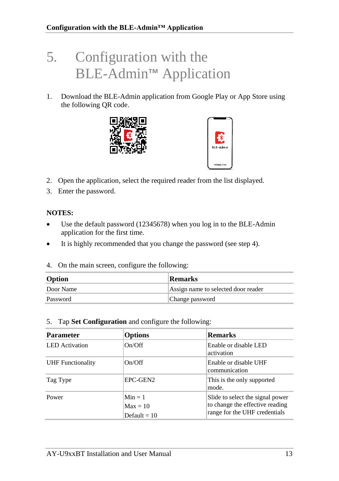# <span id="page-12-0"></span>5. Configuration with the BLE-Admin™ Application

1. Download the BLE-Admin application from Google Play or App Store using the following QR code.





- 2. Open the application, select the required reader from the list displayed.
- 3. Enter the password.

### **NOTES:**

- Use the default password (12345678) when you log in to the BLE-Admin application for the first time.
- It is highly recommended that you change the password (see step 4).
- 4. On the main screen, configure the following:

| Option    | Remarks                             |
|-----------|-------------------------------------|
| Door Name | Assign name to selected door reader |
| Password  | Change password                     |

#### 5. Tap **Set Configuration** and configure the following:

| <b>Parameter</b>         | <b>Options</b>                            | <b>Remarks</b>                                                                                       |
|--------------------------|-------------------------------------------|------------------------------------------------------------------------------------------------------|
| <b>LED</b> Activation    | On/Off                                    | Enable or disable LED<br>activation                                                                  |
| <b>UHF</b> Functionality | On/Off                                    | Enable or disable UHF<br>communication                                                               |
| Tag Type                 | EPC-GEN2                                  | This is the only supported<br>mode.                                                                  |
| Power                    | $Min = 1$<br>$Max = 10$<br>Default = $10$ | Slide to select the signal power<br>to change the effective reading<br>range for the UHF credentials |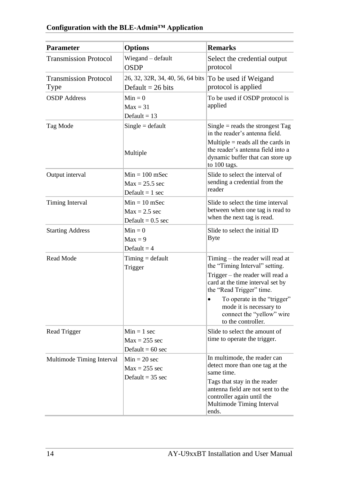#### **Parameter Options Remarks** Transmission Protocol Wiegand – default **OSDP** Select the credential output protocol Transmission Protocol Type 26, 32, 32R, 34, 40, 56, 64 bits Default  $= 26$  bits To be used if Weigand protocol is applied  $OSDP$  Address  $Min = 0$  $Max = 31$ Default  $= 13$ To be used if OSDP protocol is applied  $Tag Mode$   $Single = default$ Multiple  $Single = reads$  the strongest Tag in the reader's antenna field. Multiple  $=$  reads all the cards in the reader's antenna field into a dynamic buffer that can store up to 100 tags. Output interval  $\text{Min} = 100 \text{ m}$ Sec  $Max = 25.5 sec$ Default  $= 1$  sec Slide to select the interval of sending a credential from the reader Timing Interval  $\text{Min} = 10 \text{ m}$ Sec  $Max = 2.5 sec$ Default  $= 0.5$  sec Slide to select the time interval between when one tag is read to when the next tag is read. Starting Address  $\text{Min} = 0$  $Max = 9$ Default  $= 4$ Slide to select the initial ID Byte  $Read Mode$   $Timize = default$ Trigger Timing – the reader will read at the "Timing Interval" setting. Trigger – the reader will read a card at the time interval set by the "Read Trigger" time. • To operate in the "trigger" mode it is necessary to connect the "yellow" wire to the controller. Read Trigger  $\text{Min} = 1 \text{ sec}$  $Max = 255$  sec Default  $= 60$  sec Slide to select the amount of time to operate the trigger. Multimode Timing Interval  $\text{Min} = 20 \text{ sec}$  $Max = 255$  sec Default  $= 35$  sec In multimode, the reader can detect more than one tag at the same time. Tags that stay in the reader antenna field are not sent to the controller again until the Multimode Timing Interval ends.

### **Configuration with the BLE-Admin™ Application**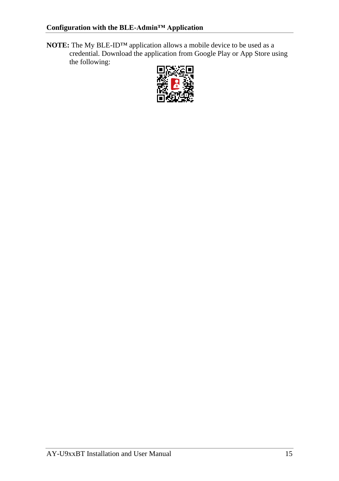**NOTE:** The My BLE-ID™ application allows a mobile device to be used as a credential. Download the application from Google Play or App Store using the following:

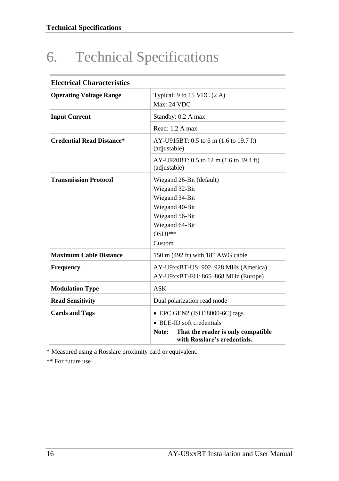# <span id="page-15-0"></span>6. Technical Specifications

| <b>Electrical Characteristics</b> |                                                                             |  |
|-----------------------------------|-----------------------------------------------------------------------------|--|
| <b>Operating Voltage Range</b>    | Typical: $9$ to 15 VDC $(2 \text{ A})$<br><b>Max: 24 VDC</b>                |  |
| <b>Input Current</b>              | Standby: 0.2 A max                                                          |  |
|                                   | Read: 1.2 A max                                                             |  |
| <b>Credential Read Distance*</b>  | AY-U915BT: 0.5 to 6 m (1.6 to 19.7 ft)<br>(adjustable)                      |  |
|                                   | AY-U920BT: 0.5 to 12 m (1.6 to 39.4 ft)<br>(adjustable)                     |  |
| <b>Transmission Protocol</b>      | Wiegand 26-Bit (default)                                                    |  |
|                                   | Wiegand 32-Bit                                                              |  |
|                                   | Wiegand 34-Bit                                                              |  |
|                                   | Wiegand 40-Bit                                                              |  |
|                                   | Wiegand 56-Bit                                                              |  |
|                                   | Wiegand 64-Bit                                                              |  |
|                                   | $OSDP**$                                                                    |  |
|                                   | Custom                                                                      |  |
| <b>Maximum Cable Distance</b>     | 150 m (492 ft) with 18" AWG cable                                           |  |
| <b>Frequency</b>                  | AY-U9xxBT-US: 902-928 MHz (America)                                         |  |
|                                   | AY-U9xxBT-EU: 865-868 MHz (Europe)                                          |  |
| <b>Modulation Type</b>            | ASK                                                                         |  |
| <b>Read Sensitivity</b>           | Dual polarization read mode                                                 |  |
| <b>Cards and Tags</b>             | · EPC GEN2 (ISO18000-6C) tags                                               |  |
|                                   | • BLE-ID soft credentials                                                   |  |
|                                   | That the reader is only compatible<br>Note:<br>with Rosslare's credentials. |  |

\* Measured using a Rosslare proximity card or equivalent.

\*\* For future use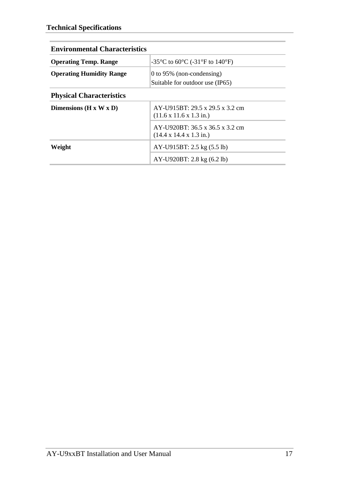| <b>Environmental Characteristics</b> |                                                                                |  |
|--------------------------------------|--------------------------------------------------------------------------------|--|
| <b>Operating Temp. Range</b>         | -35 °C to 60 °C (-31 °F to 140 °F)                                             |  |
| <b>Operating Humidity Range</b>      | 0 to 95% (non-condensing)<br>Suitable for outdoor use (IP65)                   |  |
| <b>Physical Characteristics</b>      |                                                                                |  |
| Dimensions ( $H \times W \times D$ ) | AY-U915BT: 29.5 x 29.5 x 3.2 cm<br>$(11.6 \times 11.6 \times 1.3 \text{ in.})$ |  |
|                                      | AY-U920BT: 36.5 x 36.5 x 3.2 cm<br>$(14.4 \times 14.4 \times 1.3 \text{ in.})$ |  |
| Weight                               | AY-U915BT: 2.5 kg (5.5 lb)                                                     |  |
|                                      | AY-U920BT: 2.8 kg (6.2 lb)                                                     |  |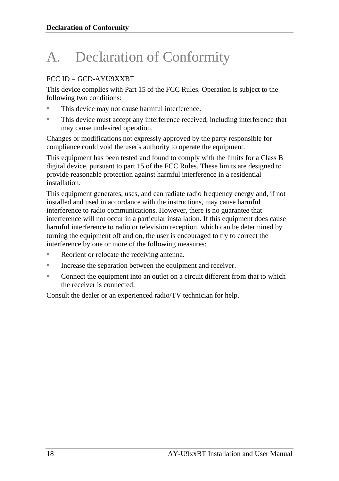# <span id="page-17-0"></span>A. Declaration of Conformity

## $FCC$  ID  $=$  GCD-AYU9XXRT

This device complies with Part 15 of the FCC Rules. Operation is subject to the following two conditions:

- This device may not cause harmful interference.
- This device must accept any interference received, including interference that may cause undesired operation.

Changes or modifications not expressly approved by the party responsible for compliance could void the user's authority to operate the equipment.

This equipment has been tested and found to comply with the limits for a Class B digital device, pursuant to part 15 of the FCC Rules. These limits are designed to provide reasonable protection against harmful interference in a residential installation.

This equipment generates, uses, and can radiate radio frequency energy and, if not installed and used in accordance with the instructions, may cause harmful interference to radio communications. However, there is no guarantee that interference will not occur in a particular installation. If this equipment does cause harmful interference to radio or television reception, which can be determined by turning the equipment off and on, the user is encouraged to try to correct the interference by one or more of the following measures:

- Reorient or relocate the receiving antenna.
- Increase the separation between the equipment and receiver.
- Connect the equipment into an outlet on a circuit different from that to which the receiver is connected.

Consult the dealer or an experienced radio/TV technician for help.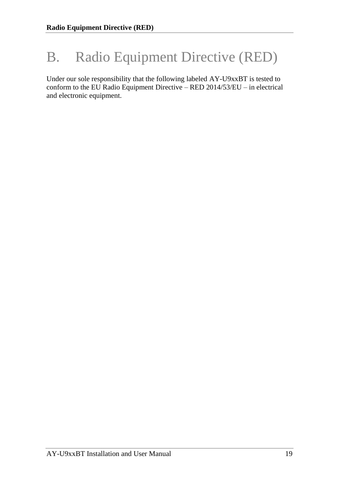# <span id="page-18-0"></span>B. Radio Equipment Directive (RED)

Under our sole responsibility that the following labeled AY-U9xxBT is tested to conform to the EU Radio Equipment Directive – RED 2014/53/EU – in electrical and electronic equipment.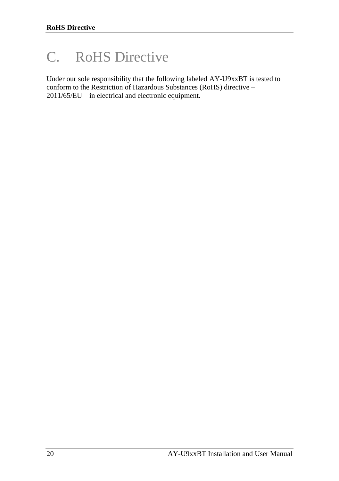# <span id="page-19-0"></span>C. RoHS Directive

Under our sole responsibility that the following labeled AY-U9xxBT is tested to conform to the Restriction of Hazardous Substances (RoHS) directive – 2011/65/EU – in electrical and electronic equipment.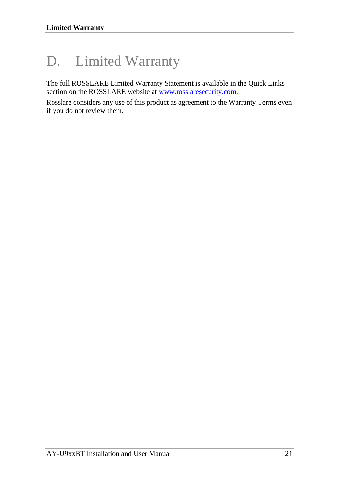# <span id="page-20-0"></span>D. Limited Warranty

The full ROSSLARE Limited Warranty Statement is available in the Quick Links section on the ROSSLARE website a[t www.rosslaresecurity.com.](http://www.rosslaresecurity.com/)

Rosslare considers any use of this product as agreement to the Warranty Terms even if you do not review them.